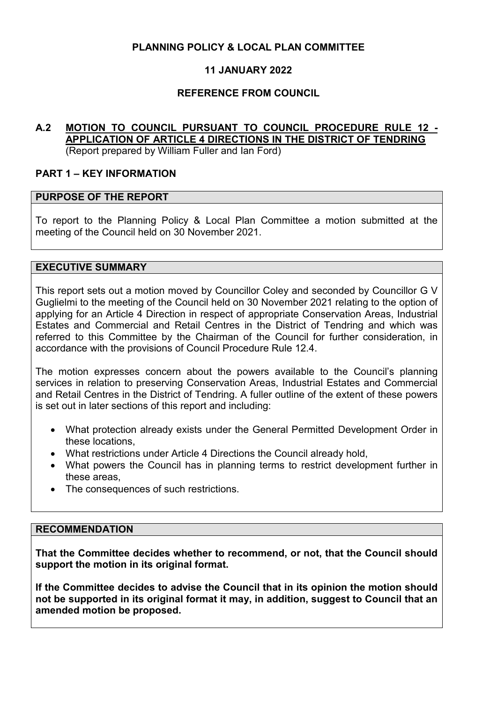## **PLANNING POLICY & LOCAL PLAN COMMITTEE**

# **11 JANUARY 2022**

## **REFERENCE FROM COUNCIL**

#### **A.2 MOTION TO COUNCIL PURSUANT TO COUNCIL PROCEDURE RULE 12 - APPLICATION OF ARTICLE 4 DIRECTIONS IN THE DISTRICT OF TENDRING** (Report prepared by William Fuller and Ian Ford)

#### **PART 1 – KEY INFORMATION**

#### **PURPOSE OF THE REPORT**

To report to the Planning Policy & Local Plan Committee a motion submitted at the meeting of the Council held on 30 November 2021.

#### **EXECUTIVE SUMMARY**

This report sets out a motion moved by Councillor Coley and seconded by Councillor G V Guglielmi to the meeting of the Council held on 30 November 2021 relating to the option of applying for an Article 4 Direction in respect of appropriate Conservation Areas, Industrial Estates and Commercial and Retail Centres in the District of Tendring and which was referred to this Committee by the Chairman of the Council for further consideration, in accordance with the provisions of Council Procedure Rule 12.4.

The motion expresses concern about the powers available to the Council's planning services in relation to preserving Conservation Areas, Industrial Estates and Commercial and Retail Centres in the District of Tendring. A fuller outline of the extent of these powers is set out in later sections of this report and including:

- What protection already exists under the General Permitted Development Order in these locations,
- What restrictions under Article 4 Directions the Council already hold,
- What powers the Council has in planning terms to restrict development further in these areas,
- The consequences of such restrictions.

#### **RECOMMENDATION**

**That the Committee decides whether to recommend, or not, that the Council should support the motion in its original format.** 

**If the Committee decides to advise the Council that in its opinion the motion should not be supported in its original format it may, in addition, suggest to Council that an amended motion be proposed.**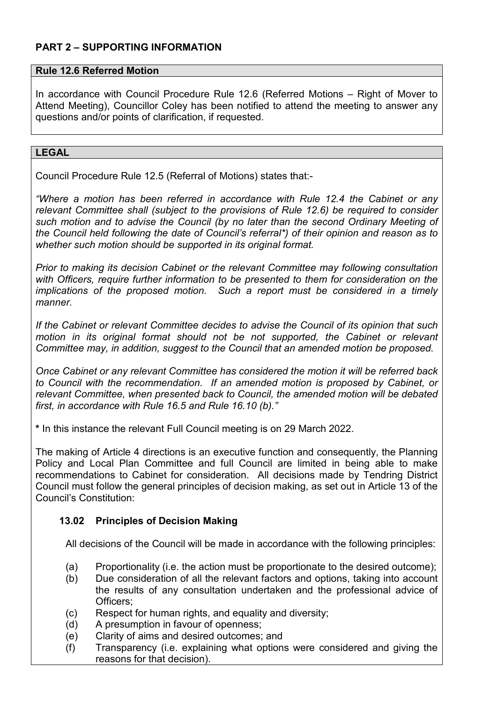# **PART 2 – SUPPORTING INFORMATION**

### **Rule 12.6 Referred Motion**

In accordance with Council Procedure Rule 12.6 (Referred Motions – Right of Mover to Attend Meeting), Councillor Coley has been notified to attend the meeting to answer any questions and/or points of clarification, if requested.

#### **LEGAL**

Council Procedure Rule 12.5 (Referral of Motions) states that:-

*"Where a motion has been referred in accordance with Rule 12.4 the Cabinet or any relevant Committee shall (subject to the provisions of Rule 12.6) be required to consider such motion and to advise the Council (by no later than the second Ordinary Meeting of the Council held following the date of Council's referral\*) of their opinion and reason as to whether such motion should be supported in its original format.* 

*Prior to making its decision Cabinet or the relevant Committee may following consultation with Officers, require further information to be presented to them for consideration on the implications of the proposed motion. Such a report must be considered in a timely manner.* 

*If the Cabinet or relevant Committee decides to advise the Council of its opinion that such*  motion in its original format should not be not supported, the Cabinet or relevant *Committee may, in addition, suggest to the Council that an amended motion be proposed.* 

*Once Cabinet or any relevant Committee has considered the motion it will be referred back to Council with the recommendation. If an amended motion is proposed by Cabinet, or relevant Committee, when presented back to Council, the amended motion will be debated first, in accordance with Rule 16.5 and Rule 16.10 (b)."* 

**\*** In this instance the relevant Full Council meeting is on 29 March 2022.

The making of Article 4 directions is an executive function and consequently, the Planning Policy and Local Plan Committee and full Council are limited in being able to make recommendations to Cabinet for consideration. All decisions made by Tendring District Council must follow the general principles of decision making, as set out in Article 13 of the Council's Constitution:

# **13.02 Principles of Decision Making**

All decisions of the Council will be made in accordance with the following principles:

- (a) Proportionality (i.e. the action must be proportionate to the desired outcome);
- (b) Due consideration of all the relevant factors and options, taking into account the results of any consultation undertaken and the professional advice of Officers<sup>:</sup>
- (c) Respect for human rights, and equality and diversity;
- (d) A presumption in favour of openness;
- (e) Clarity of aims and desired outcomes; and
- (f) Transparency (i.e. explaining what options were considered and giving the reasons for that decision).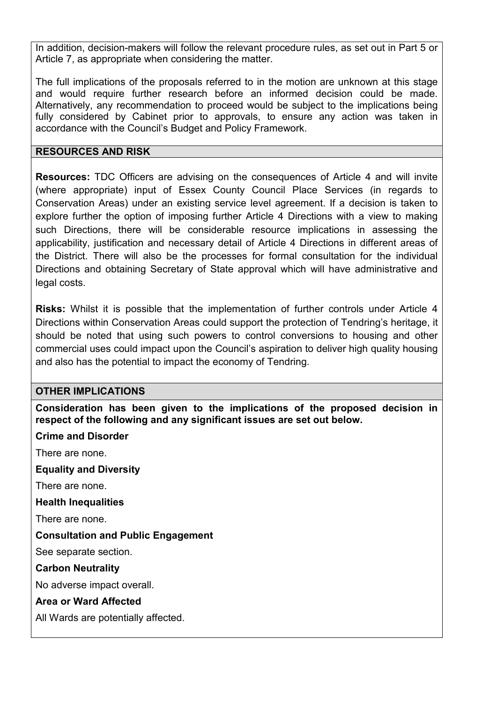In addition, decision-makers will follow the relevant procedure rules, as set out in Part 5 or Article 7, as appropriate when considering the matter.

The full implications of the proposals referred to in the motion are unknown at this stage and would require further research before an informed decision could be made. Alternatively, any recommendation to proceed would be subject to the implications being fully considered by Cabinet prior to approvals, to ensure any action was taken in accordance with the Council's Budget and Policy Framework.

### **RESOURCES AND RISK**

**Resources:** TDC Officers are advising on the consequences of Article 4 and will invite (where appropriate) input of Essex County Council Place Services (in regards to Conservation Areas) under an existing service level agreement. If a decision is taken to explore further the option of imposing further Article 4 Directions with a view to making such Directions, there will be considerable resource implications in assessing the applicability, justification and necessary detail of Article 4 Directions in different areas of the District. There will also be the processes for formal consultation for the individual Directions and obtaining Secretary of State approval which will have administrative and legal costs.

**Risks:** Whilst it is possible that the implementation of further controls under Article 4 Directions within Conservation Areas could support the protection of Tendring's heritage, it should be noted that using such powers to control conversions to housing and other commercial uses could impact upon the Council's aspiration to deliver high quality housing and also has the potential to impact the economy of Tendring.

### **OTHER IMPLICATIONS**

**Consideration has been given to the implications of the proposed decision in respect of the following and any significant issues are set out below.** 

### **Crime and Disorder**

There are none.

**Equality and Diversity**

There are none.

**Health Inequalities** 

There are none.

### **Consultation and Public Engagement**

See separate section.

**Carbon Neutrality** 

No adverse impact overall.

### **Area or Ward Affected**

All Wards are potentially affected.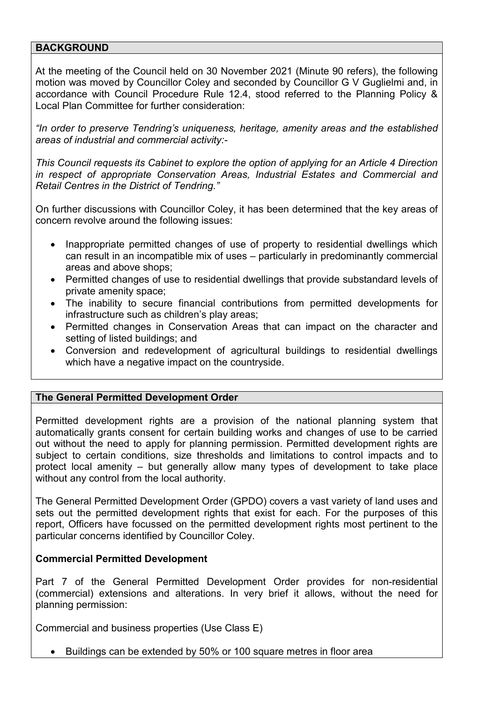### **BACKGROUND**

At the meeting of the Council held on 30 November 2021 (Minute 90 refers), the following motion was moved by Councillor Coley and seconded by Councillor G V Guglielmi and, in accordance with Council Procedure Rule 12.4, stood referred to the Planning Policy & Local Plan Committee for further consideration:

*"In order to preserve Tendring's uniqueness, heritage, amenity areas and the established areas of industrial and commercial activity:-* 

*This Council requests its Cabinet to explore the option of applying for an Article 4 Direction in respect of appropriate Conservation Areas, Industrial Estates and Commercial and Retail Centres in the District of Tendring."* 

On further discussions with Councillor Coley, it has been determined that the key areas of concern revolve around the following issues:

- Inappropriate permitted changes of use of property to residential dwellings which can result in an incompatible mix of uses – particularly in predominantly commercial areas and above shops;
- Permitted changes of use to residential dwellings that provide substandard levels of private amenity space;
- The inability to secure financial contributions from permitted developments for infrastructure such as children's play areas;
- Permitted changes in Conservation Areas that can impact on the character and setting of listed buildings; and
- Conversion and redevelopment of agricultural buildings to residential dwellings which have a negative impact on the countryside.

### **The General Permitted Development Order**

Permitted development rights are a provision of the national planning system that automatically grants consent for certain building works and changes of use to be carried out without the need to apply for planning permission. Permitted development rights are subject to certain conditions, size thresholds and limitations to control impacts and to protect local amenity – but generally allow many types of development to take place without any control from the local authority.

The General Permitted Development Order (GPDO) covers a vast variety of land uses and sets out the permitted development rights that exist for each. For the purposes of this report, Officers have focussed on the permitted development rights most pertinent to the particular concerns identified by Councillor Coley.

#### **Commercial Permitted Development**

Part 7 of the General Permitted Development Order provides for non-residential (commercial) extensions and alterations. In very brief it allows, without the need for planning permission:

Commercial and business properties (Use Class E)

• Buildings can be extended by 50% or 100 square metres in floor area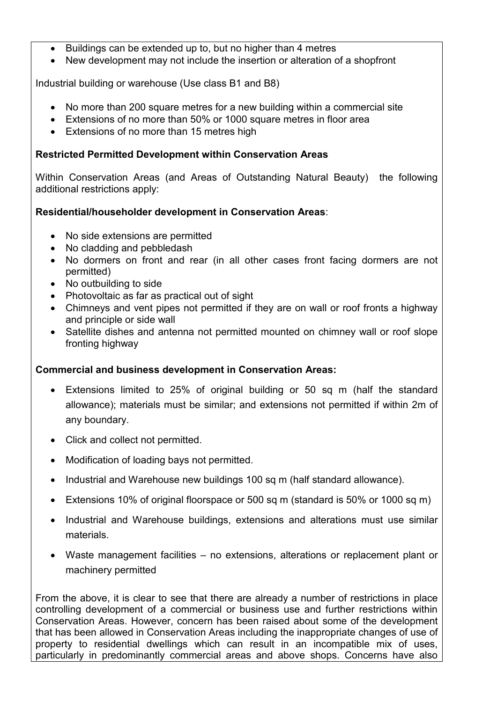- Buildings can be extended up to, but no higher than 4 metres
- New development may not include the insertion or alteration of a shopfront

Industrial building or warehouse (Use class B1 and B8)

- No more than 200 square metres for a new building within a commercial site
- Extensions of no more than 50% or 1000 square metres in floor area
- Extensions of no more than 15 metres high

## **Restricted Permitted Development within Conservation Areas**

Within Conservation Areas (and Areas of Outstanding Natural Beauty) the following additional restrictions apply:

# **Residential/householder development in Conservation Areas**:

- No side extensions are permitted
- No cladding and pebbledash
- No dormers on front and rear (in all other cases front facing dormers are not permitted)
- No outbuilding to side
- Photovoltaic as far as practical out of sight
- Chimneys and vent pipes not permitted if they are on wall or roof fronts a highway and principle or side wall
- Satellite dishes and antenna not permitted mounted on chimney wall or roof slope fronting highway

### **Commercial and business development in Conservation Areas:**

- Extensions limited to 25% of original building or 50 sq m (half the standard allowance); materials must be similar; and extensions not permitted if within 2m of any boundary.
- Click and collect not permitted.
- Modification of loading bays not permitted.
- Industrial and Warehouse new buildings 100 sq m (half standard allowance).
- Extensions 10% of original floorspace or 500 sq m (standard is 50% or 1000 sq m)
- Industrial and Warehouse buildings, extensions and alterations must use similar materials.
- Waste management facilities no extensions, alterations or replacement plant or machinery permitted

From the above, it is clear to see that there are already a number of restrictions in place controlling development of a commercial or business use and further restrictions within Conservation Areas. However, concern has been raised about some of the development that has been allowed in Conservation Areas including the inappropriate changes of use of property to residential dwellings which can result in an incompatible mix of uses, particularly in predominantly commercial areas and above shops. Concerns have also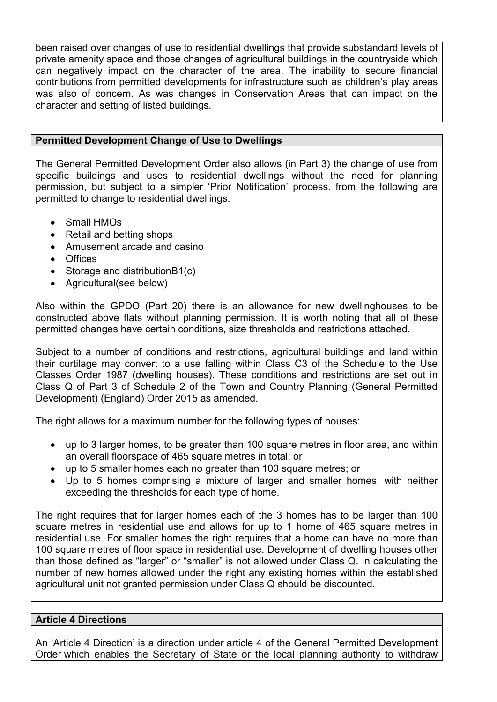been raised over changes of use to residential dwellings that provide substandard levels of private amenity space and those changes of agricultural buildings in the countryside which can negatively impact on the character of the area. The inability to secure financial contributions from permitted developments for infrastructure such as children's play areas was also of concern. As was changes in Conservation Areas that can impact on the character and setting of listed buildings.

## **Permitted Development Change of Use to Dwellings**

The General Permitted Development Order also allows (in Part 3) the change of use from specific buildings and uses to residential dwellings without the need for planning permission, but subject to a simpler 'Prior Notification' process. from the following are permitted to change to residential dwellings:

- Small HMOs
- Retail and betting shops
- Amusement arcade and casino
- Offices
- Storage and distributionB1(c)
- Agricultural(see below)

Also within the GPDO (Part 20) there is an allowance for new dwellinghouses to be constructed above flats without planning permission. It is worth noting that all of these permitted changes have certain conditions, size thresholds and restrictions attached.

Subject to a number of conditions and restrictions, agricultural buildings and land within their curtilage may convert to a use falling within Class C3 of the Schedule to the Use Classes Order 1987 (dwelling houses). These conditions and restrictions are set out in Class Q of Part 3 of Schedule 2 of the Town and Country Planning (General Permitted Development) (England) Order 2015 as amended.

The right allows for a maximum number for the following types of houses:

- up to 3 larger homes, to be greater than 100 square metres in floor area, and within an overall floorspace of 465 square metres in total; or
- up to 5 smaller homes each no greater than 100 square metres; or
- Up to 5 homes comprising a mixture of larger and smaller homes, with neither exceeding the thresholds for each type of home.

The right requires that for larger homes each of the 3 homes has to be larger than 100 square metres in residential use and allows for up to 1 home of 465 square metres in residential use. For smaller homes the right requires that a home can have no more than 100 square metres of floor space in residential use. Development of dwelling houses other than those defined as "larger" or "smaller" is not allowed under Class Q. In calculating the number of new homes allowed under the right any existing homes within the established agricultural unit not granted permission under Class Q should be discounted.

### **Article 4 Directions**

An 'Article 4 Direction' is a direction under article 4 of the General Permitted Development Order which enables the Secretary of State or the local planning authority to withdraw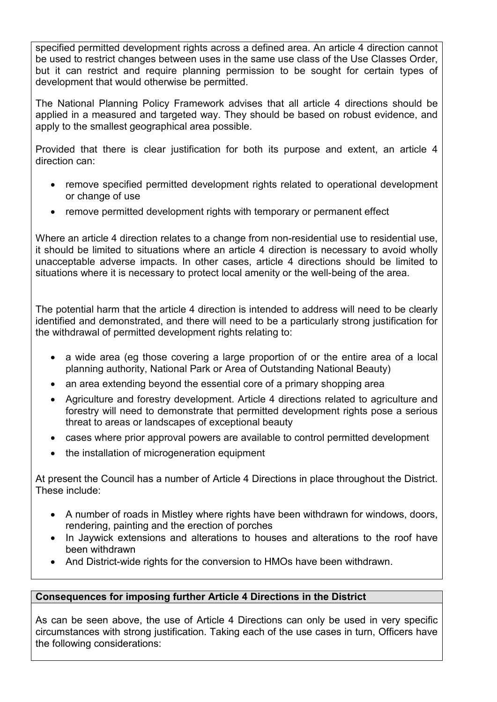specified permitted development rights across a defined area. An article 4 direction cannot be used to restrict changes between uses in the same use class of the Use Classes Order, but it can restrict and require planning permission to be sought for certain types of development that would otherwise be permitted.

The National Planning Policy Framework advises that all article 4 directions should be applied in a measured and targeted way. They should be based on robust evidence, and apply to the smallest geographical area possible.

Provided that there is clear justification for both its purpose and extent, an article 4 direction can:

- remove specified permitted development rights related to operational development or change of use
- remove permitted development rights with temporary or permanent effect

Where an article 4 direction relates to a change from non-residential use to residential use, it should be limited to situations where an article 4 direction is necessary to avoid wholly unacceptable adverse impacts. In other cases, article 4 directions should be limited to situations where it is necessary to protect local amenity or the well-being of the area.

The potential harm that the article 4 direction is intended to address will need to be clearly identified and demonstrated, and there will need to be a particularly strong justification for the withdrawal of permitted development rights relating to:

- a wide area (eg those covering a large proportion of or the entire area of a local planning authority, National Park or Area of Outstanding National Beauty)
- an area extending beyond the essential core of a primary shopping area
- Agriculture and forestry development. Article 4 directions related to agriculture and forestry will need to demonstrate that permitted development rights pose a serious threat to areas or landscapes of exceptional beauty
- cases where prior approval powers are available to control permitted development
- the installation of microgeneration equipment

At present the Council has a number of Article 4 Directions in place throughout the District. These include:

- A number of roads in Mistley where rights have been withdrawn for windows, doors, rendering, painting and the erection of porches
- In Jaywick extensions and alterations to houses and alterations to the roof have been withdrawn
- And District-wide rights for the conversion to HMOs have been withdrawn.

# **Consequences for imposing further Article 4 Directions in the District**

As can be seen above, the use of Article 4 Directions can only be used in very specific circumstances with strong justification. Taking each of the use cases in turn, Officers have the following considerations: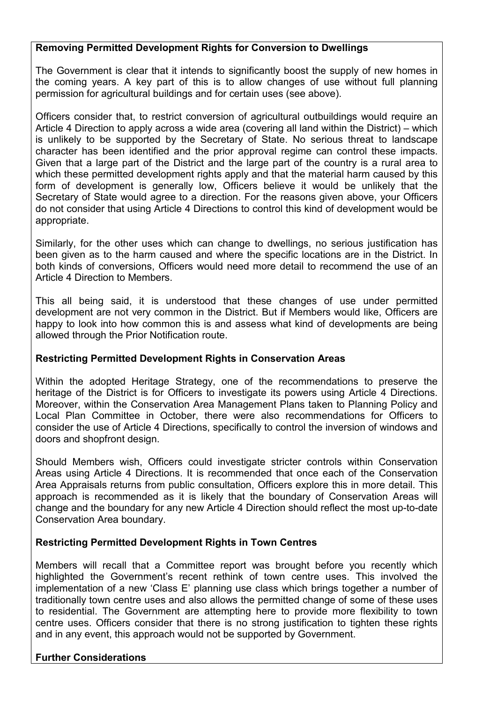## **Removing Permitted Development Rights for Conversion to Dwellings**

The Government is clear that it intends to significantly boost the supply of new homes in the coming years. A key part of this is to allow changes of use without full planning permission for agricultural buildings and for certain uses (see above).

Officers consider that, to restrict conversion of agricultural outbuildings would require an Article 4 Direction to apply across a wide area (covering all land within the District) – which is unlikely to be supported by the Secretary of State. No serious threat to landscape character has been identified and the prior approval regime can control these impacts. Given that a large part of the District and the large part of the country is a rural area to which these permitted development rights apply and that the material harm caused by this form of development is generally low, Officers believe it would be unlikely that the Secretary of State would agree to a direction. For the reasons given above, your Officers do not consider that using Article 4 Directions to control this kind of development would be appropriate.

Similarly, for the other uses which can change to dwellings, no serious justification has been given as to the harm caused and where the specific locations are in the District. In both kinds of conversions, Officers would need more detail to recommend the use of an Article 4 Direction to Members.

This all being said, it is understood that these changes of use under permitted development are not very common in the District. But if Members would like, Officers are happy to look into how common this is and assess what kind of developments are being allowed through the Prior Notification route.

### **Restricting Permitted Development Rights in Conservation Areas**

Within the adopted Heritage Strategy, one of the recommendations to preserve the heritage of the District is for Officers to investigate its powers using Article 4 Directions. Moreover, within the Conservation Area Management Plans taken to Planning Policy and Local Plan Committee in October, there were also recommendations for Officers to consider the use of Article 4 Directions, specifically to control the inversion of windows and doors and shopfront design.

Should Members wish, Officers could investigate stricter controls within Conservation Areas using Article 4 Directions. It is recommended that once each of the Conservation Area Appraisals returns from public consultation, Officers explore this in more detail. This approach is recommended as it is likely that the boundary of Conservation Areas will change and the boundary for any new Article 4 Direction should reflect the most up-to-date Conservation Area boundary.

### **Restricting Permitted Development Rights in Town Centres**

Members will recall that a Committee report was brought before you recently which highlighted the Government's recent rethink of town centre uses. This involved the implementation of a new 'Class E' planning use class which brings together a number of traditionally town centre uses and also allows the permitted change of some of these uses to residential. The Government are attempting here to provide more flexibility to town centre uses. Officers consider that there is no strong justification to tighten these rights and in any event, this approach would not be supported by Government.

# **Further Considerations**